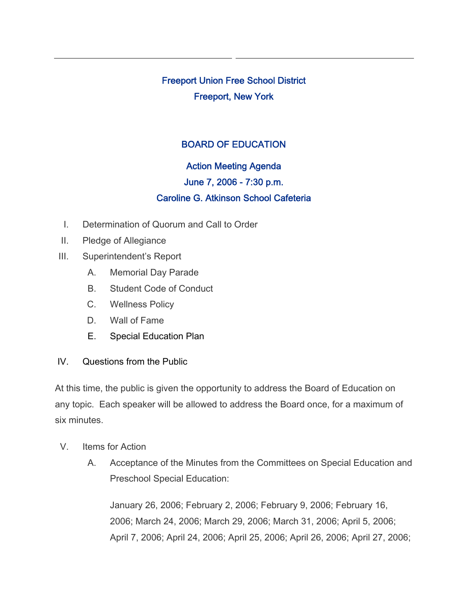Freeport Union Free School District Freeport, New York

# BOARD OF EDUCATION

# Action Meeting Agenda

### June 7, 2006 - 7:30 p.m.

# Caroline G. Atkinson School Cafeteria

- I. Determination of Quorum and Call to Order
- II. Pledge of Allegiance
- III. Superintendent's Report
	- A. Memorial Day Parade
	- B. Student Code of Conduct
	- C. Wellness Policy
	- D. Wall of Fame
	- E. Special Education Plan
- IV. Questions from the Public

At this time, the public is given the opportunity to address the Board of Education on any topic. Each speaker will be allowed to address the Board once, for a maximum of six minutes.

- V. Items for Action
	- A. Acceptance of the Minutes from the Committees on Special Education and Preschool Special Education:

January 26, 2006; February 2, 2006; February 9, 2006; February 16, 2006; March 24, 2006; March 29, 2006; March 31, 2006; April 5, 2006; April 7, 2006; April 24, 2006; April 25, 2006; April 26, 2006; April 27, 2006;